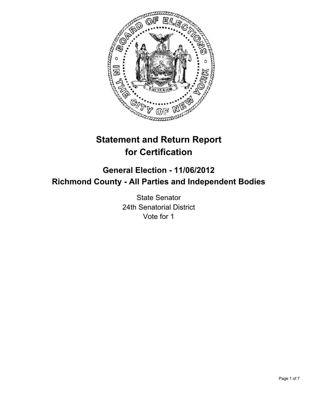

# **Statement and Return Report for Certification**

# **General Election - 11/06/2012 Richmond County - All Parties and Independent Bodies**

State Senator 24th Senatorial District Vote for 1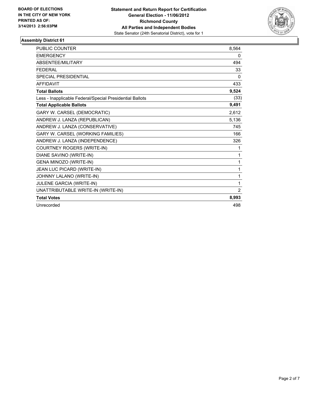

| <b>PUBLIC COUNTER</b>                                    | 8,564 |
|----------------------------------------------------------|-------|
| <b>EMERGENCY</b>                                         | 0     |
| ABSENTEE/MILITARY                                        | 494   |
| <b>FFDFRAI</b>                                           | 33    |
| <b>SPECIAL PRESIDENTIAL</b>                              | 0     |
| <b>AFFIDAVIT</b>                                         | 433   |
| <b>Total Ballots</b>                                     | 9,524 |
| Less - Inapplicable Federal/Special Presidential Ballots | (33)  |
| <b>Total Applicable Ballots</b>                          | 9,491 |
| GARY W. CARSEL (DEMOCRATIC)                              | 2,612 |
| ANDREW J. LANZA (REPUBLICAN)                             | 5,136 |
| ANDREW J. LANZA (CONSERVATIVE)                           | 745   |
| GARY W. CARSEL (WORKING FAMILIES)                        | 166   |
| ANDREW J. LANZA (INDEPENDENCE)                           | 326   |
| COURTNEY ROGERS (WRITE-IN)                               | 1     |
| DIANE SAVINO (WRITE-IN)                                  | 1     |
| GENA MINOZO (WRITE-IN)                                   | 1     |
| JEAN LUC PICARD (WRITE-IN)                               | 1     |
| JOHNNY LALANO (WRITE-IN)                                 | 1     |
| JULENE GARCIA (WRITE-IN)                                 | 1     |
| UNATTRIBUTABLE WRITE-IN (WRITE-IN)                       | 2     |
| <b>Total Votes</b>                                       | 8,993 |
| Unrecorded                                               | 498   |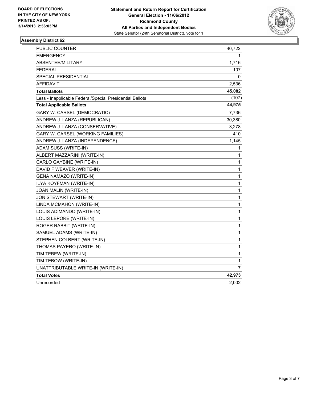

| <b>PUBLIC COUNTER</b>                                    | 40,722         |
|----------------------------------------------------------|----------------|
| EMERGENCY                                                | 1              |
| ABSENTEE/MILITARY                                        | 1,716          |
| <b>FEDERAL</b>                                           | 107            |
| SPECIAL PRESIDENTIAL                                     | 0              |
| AFFIDAVIT                                                | 2,536          |
| <b>Total Ballots</b>                                     | 45,082         |
| Less - Inapplicable Federal/Special Presidential Ballots | (107)          |
| <b>Total Applicable Ballots</b>                          | 44,975         |
| GARY W. CARSEL (DEMOCRATIC)                              | 7,736          |
| ANDREW J. LANZA (REPUBLICAN)                             | 30,380         |
| ANDREW J. LANZA (CONSERVATIVE)                           | 3,278          |
| GARY W. CARSEL (WORKING FAMILIES)                        | 410            |
| ANDREW J. LANZA (INDEPENDENCE)                           | 1,145          |
| ADAM SUSS (WRITE-IN)                                     | 1              |
| ALBERT MAZZARINI (WRITE-IN)                              | $\mathbf{1}$   |
| CARLO GAYBINE (WRITE-IN)                                 | $\mathbf{1}$   |
| DAVID F WEAVER (WRITE-IN)                                | 1              |
| GENA NAMAZO (WRITE-IN)                                   | $\mathbf 1$    |
| ILYA KOYFMAN (WRITE-IN)                                  | $\mathbf{1}$   |
| JOAN MALIN (WRITE-IN)                                    | 1              |
| JON STEWART (WRITE-IN)                                   | $\mathbf{1}$   |
| LINDA MCMAHON (WRITE-IN)                                 | 1              |
| LOUIS ADIMANDO (WRITE-IN)                                | $\mathbf 1$    |
| LOUIS LEPORE (WRITE-IN)                                  | 1              |
| ROGER RABBIT (WRITE-IN)                                  | 1              |
| SAMUEL ADAMS (WRITE-IN)                                  | $\mathbf{1}$   |
| STEPHEN COLBERT (WRITE-IN)                               | 1              |
| THOMAS PAYERO (WRITE-IN)                                 | 1              |
| TIM TEBEW (WRITE-IN)                                     | 1              |
| TIM TEBOW (WRITE-IN)                                     | 1              |
| UNATTRIBUTABLE WRITE-IN (WRITE-IN)                       | $\overline{7}$ |
| <b>Total Votes</b>                                       | 42,973         |
| Unrecorded                                               | 2,002          |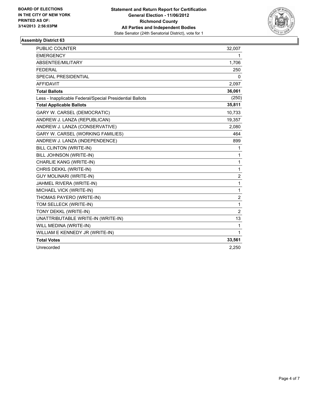

| <b>PUBLIC COUNTER</b>                                    | 32,007         |
|----------------------------------------------------------|----------------|
| <b>EMERGENCY</b>                                         | 1.             |
| ABSENTEE/MILITARY                                        | 1,706          |
| <b>FEDERAL</b>                                           | 250            |
| <b>SPECIAL PRESIDENTIAL</b>                              | $\Omega$       |
| <b>AFFIDAVIT</b>                                         | 2,097          |
| <b>Total Ballots</b>                                     | 36,061         |
| Less - Inapplicable Federal/Special Presidential Ballots | (250)          |
| <b>Total Applicable Ballots</b>                          | 35,811         |
| GARY W. CARSEL (DEMOCRATIC)                              | 10,733         |
| ANDREW J. LANZA (REPUBLICAN)                             | 19,357         |
| ANDREW J. LANZA (CONSERVATIVE)                           | 2,080          |
| GARY W. CARSEL (WORKING FAMILIES)                        | 464            |
| ANDREW J. LANZA (INDEPENDENCE)                           | 899            |
| BILL CLINTON (WRITE-IN)                                  | 1              |
| BILL JOHNSON (WRITE-IN)                                  | 1              |
| CHARLIE KANG (WRITE-IN)                                  | 1              |
| CHRIS DEKKL (WRITE-IN)                                   | 1              |
| <b>GUY MOLINARI (WRITE-IN)</b>                           | $\overline{2}$ |
| JAHMEL RIVERA (WRITE-IN)                                 | 1              |
| MICHAEL VICK (WRITE-IN)                                  | 1              |
| THOMAS PAYERO (WRITE-IN)                                 | $\overline{2}$ |
| TOM SELLECK (WRITE-IN)                                   | 1              |
| TONY DEKKL (WRITE-IN)                                    | $\overline{2}$ |
| UNATTRIBUTABLE WRITE-IN (WRITE-IN)                       | 13             |
| WILL MEDINA (WRITE-IN)                                   | 1              |
| WILLIAM E KENNEDY JR (WRITE-IN)                          | 1              |
| <b>Total Votes</b>                                       | 33,561         |
| Unrecorded                                               | 2,250          |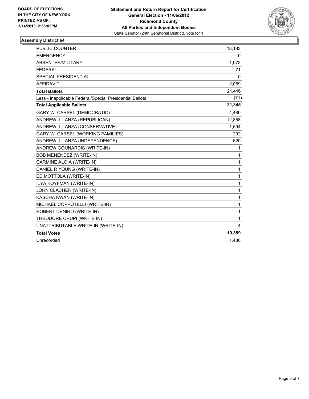

| <b>PUBLIC COUNTER</b>                                    | 18,183       |
|----------------------------------------------------------|--------------|
| <b>EMERGENCY</b>                                         | 0            |
| ABSENTEE/MILITARY                                        | 1,073        |
| <b>FEDERAL</b>                                           | 71           |
| <b>SPECIAL PRESIDENTIAL</b>                              | 0            |
| <b>AFFIDAVIT</b>                                         | 2,089        |
| <b>Total Ballots</b>                                     | 21,416       |
| Less - Inapplicable Federal/Special Presidential Ballots | (71)         |
| <b>Total Applicable Ballots</b>                          | 21,345       |
| GARY W. CARSEL (DEMOCRATIC)                              | 4,480        |
| ANDREW J. LANZA (REPUBLICAN)                             | 12,858       |
| ANDREW J. LANZA (CONSERVATIVE)                           | 1,594        |
| GARY W. CARSEL (WORKING FAMILIES)                        | 292          |
| ANDREW J. LANZA (INDEPENDENCE)                           | 620          |
| ANDREW GOUNARDIS (WRITE-IN)                              | 1            |
| BOB MENENDEZ (WRITE-IN)                                  | 1            |
| CARMINE ALOIA (WRITE-IN)                                 | $\mathbf{1}$ |
| DANIEL R YOUNG (WRITE-IN)                                | $\mathbf{1}$ |
| ED MOTTOLA (WRITE-IN)                                    | 1            |
| ILYA KOYFMAN (WRITE-IN)                                  | $\mathbf{1}$ |
| JOHN CLACHER (WRITE-IN)                                  | $\mathbf{1}$ |
| KASCHA KWAN (WRITE-IN)                                   | 1            |
| MICHAEL COPPOTELLI (WRITE-IN)                            | 1            |
| ROBERT DENIRO (WRITE-IN)                                 | 1            |
| THEODORE CRUPI (WRITE-IN)                                | $\mathbf{1}$ |
| UNATTRIBUTABLE WRITE-IN (WRITE-IN)                       | 4            |
| <b>Total Votes</b>                                       | 19,859       |
| Unrecorded                                               | 1,486        |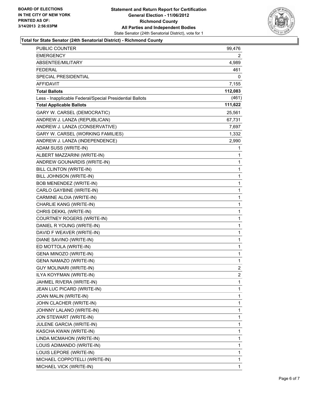

#### **Total for State Senator (24th Senatorial District) - Richmond County**

| <b>PUBLIC COUNTER</b>                                    | 99,476         |
|----------------------------------------------------------|----------------|
| EMERGENCY                                                | 2              |
| ABSENTEE/MILITARY                                        | 4,989          |
| <b>FEDERAL</b>                                           | 461            |
| SPECIAL PRESIDENTIAL                                     | 0              |
| <b>AFFIDAVIT</b>                                         | 7,155          |
| <b>Total Ballots</b>                                     | 112,083        |
| Less - Inapplicable Federal/Special Presidential Ballots | (461)          |
| <b>Total Applicable Ballots</b>                          | 111,622        |
| GARY W. CARSEL (DEMOCRATIC)                              | 25,561         |
| ANDREW J. LANZA (REPUBLICAN)                             | 67,731         |
| ANDREW J. LANZA (CONSERVATIVE)                           | 7,697          |
| GARY W. CARSEL (WORKING FAMILIES)                        | 1,332          |
| ANDREW J. LANZA (INDEPENDENCE)                           | 2,990          |
| ADAM SUSS (WRITE-IN)                                     | 1              |
| ALBERT MAZZARINI (WRITE-IN)                              | 1              |
| ANDREW GOUNARDIS (WRITE-IN)                              | 1              |
| BILL CLINTON (WRITE-IN)                                  | 1              |
| BILL JOHNSON (WRITE-IN)                                  | 1              |
| BOB MENENDEZ (WRITE-IN)                                  | 1              |
| CARLO GAYBINE (WRITE-IN)                                 | 1              |
| CARMINE ALOIA (WRITE-IN)                                 | 1              |
| CHARLIE KANG (WRITE-IN)                                  | 1              |
| CHRIS DEKKL (WRITE-IN)                                   | 1              |
| COURTNEY ROGERS (WRITE-IN)                               | 1              |
| DANIEL R YOUNG (WRITE-IN)                                | 1              |
| DAVID F WEAVER (WRITE-IN)                                | 1              |
| DIANE SAVINO (WRITE-IN)                                  | 1              |
| ED MOTTOLA (WRITE-IN)                                    | 1              |
| <b>GENA MINOZO (WRITE-IN)</b>                            | 1              |
| GENA NAMAZO (WRITE-IN)                                   | 1              |
| <b>GUY MOLINARI (WRITE-IN)</b>                           | $\overline{c}$ |
| ILYA KOYFMAN (WRITE-IN)                                  | 2              |
| JAHMEL RIVERA (WRITE-IN)                                 | 1              |
| JEAN LUC PICARD (WRITE-IN)                               | 1              |
| JOAN MALIN (WRITE-IN)                                    | 1              |
| JOHN CLACHER (WRITE-IN)                                  | 1              |
| JOHNNY LALANO (WRITE-IN)                                 | 1              |
| JON STEWART (WRITE-IN)                                   | 1              |
| JULENE GARCIA (WRITE-IN)                                 | 1              |
| KASCHA KWAN (WRITE-IN)                                   | $\mathbf 1$    |
| LINDA MCMAHON (WRITE-IN)                                 | 1              |
| LOUIS ADIMANDO (WRITE-IN)                                | 1              |
| LOUIS LEPORE (WRITE-IN)                                  | 1              |
| MICHAEL COPPOTELLI (WRITE-IN)                            | 1              |
| MICHAEL VICK (WRITE-IN)                                  | 1              |